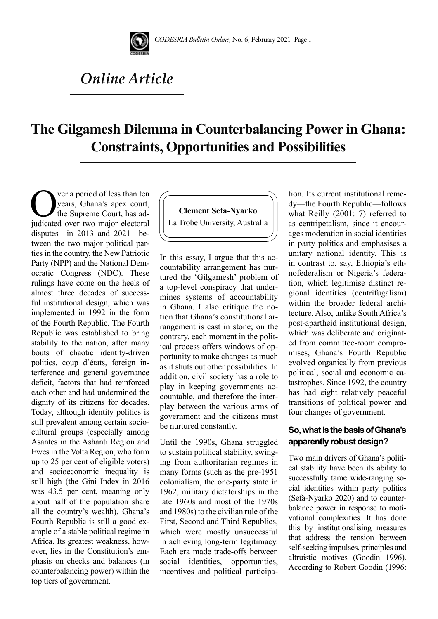

# *Online Article*

# **The Gilgamesh Dilemma in Counterbalancing Power in Ghana: Constraints, Opportunities and Possibilities**

Ver a period of less than ten<br>years, Ghana's apex court,<br>the Supreme Court, has ad-<br>indicated over two major electoral years, Ghana's apex court, the Supreme Court, has adjudicated over two major electoral disputes—in 2013 and 2021—between the two major political parties in the country, the New Patriotic Party (NPP) and the National Democratic Congress (NDC). These rulings have come on the heels of almost three decades of successful institutional design, which was implemented in 1992 in the form of the Fourth Republic. The Fourth Republic was established to bring stability to the nation, after many bouts of chaotic identity-driven politics, coup d'états, foreign interference and general governance deficit, factors that had reinforced each other and had undermined the dignity of its citizens for decades. Today, although identity politics is still prevalent among certain sociocultural groups (especially among Asantes in the Ashanti Region and Ewes in the Volta Region, who form up to 25 per cent of eligible voters) and socioeconomic inequality is still high (the Gini Index in 2016 was 43.5 per cent, meaning only about half of the population share all the country's wealth), Ghana's Fourth Republic is still a good example of a stable political regime in Africa. Its greatest weakness, however, lies in the Constitution's emphasis on checks and balances (in counterbalancing power) within the top tiers of government.



In this essay, I argue that this accountability arrangement has nurtured the 'Gilgamesh' problem of a top-level conspiracy that undermines systems of accountability in Ghana. I also critique the notion that Ghana's constitutional arrangement is cast in stone; on the contrary, each moment in the political process offers windows of opportunity to make changes as much as it shuts out other possibilities. In addition, civil society has a role to play in keeping governments accountable, and therefore the interplay between the various arms of government and the citizens must be nurtured constantly.

Until the 1990s, Ghana struggled to sustain political stability, swinging from authoritarian regimes in many forms (such as the pre-1951 colonialism, the one-party state in 1962, military dictatorships in the late 1960s and most of the 1970s and 1980s) to the civilian rule of the First, Second and Third Republics, which were mostly unsuccessful in achieving long-term legitimacy. Each era made trade-offs between social identities, opportunities, incentives and political participation. Its current institutional remedy—the Fourth Republic—follows what Reilly (2001: 7) referred to as centripetalism, since it encourages moderation in social identities in party politics and emphasises a unitary national identity. This is in contrast to, say, Ethiopia's ethnofederalism or Nigeria's federation, which legitimise distinct regional identities (centrifugalism) within the broader federal architecture. Also, unlike South Africa's post-apartheid institutional design, which was deliberate and originated from committee-room compromises, Ghana's Fourth Republic evolved organically from previous political, social and economic catastrophes. Since 1992, the country has had eight relatively peaceful transitions of political power and four changes of government.

## **So, what is the basis of Ghana's apparently robust design?**

Two main drivers of Ghana's political stability have been its ability to successfully tame wide-ranging social identities within party politics (Sefa-Nyarko 2020) and to counterbalance power in response to motivational complexities. It has done this by institutionalising measures that address the tension between self-seeking impulses, principles and altruistic motives (Goodin 1996). According to Robert Goodin (1996: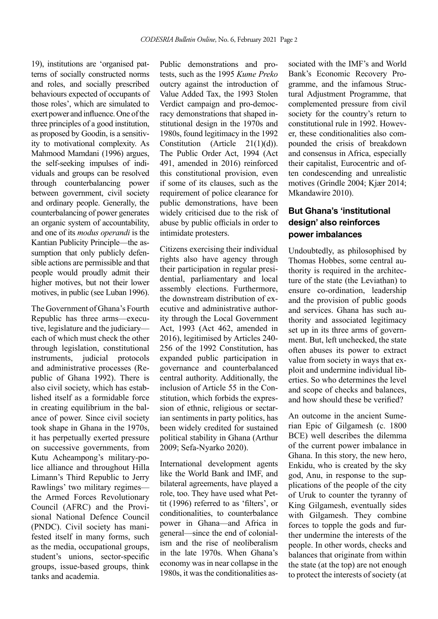19), institutions are 'organised patterns of socially constructed norms and roles, and socially prescribed behaviours expected of occupants of those roles', which are simulated to exert power and influence. One of the three principles of a good institution, as proposed by Goodin, is a sensitivity to motivational complexity. As Mahmood Mamdani (1996) argues, the self-seeking impulses of individuals and groups can be resolved through counterbalancing power between government, civil society and ordinary people. Generally, the counterbalancing of power generates an organic system of accountability, and one of its *modus operandi* is the Kantian Publicity Principle—the assumption that only publicly defensible actions are permissible and that people would proudly admit their higher motives, but not their lower motives, in public (see Luban 1996).

The Government of Ghana's Fourth Republic has three arms—executive, legislature and the judiciary each of which must check the other through legislation, constitutional instruments, judicial protocols and administrative processes (Republic of Ghana 1992). There is also civil society, which has established itself as a formidable force in creating equilibrium in the balance of power. Since civil society took shape in Ghana in the 1970s, it has perpetually exerted pressure on successive governments, from Kutu Acheampong's military-police alliance and throughout Hilla Limann's Third Republic to Jerry Rawlings' two military regimes the Armed Forces Revolutionary Council (AFRC) and the Provisional National Defence Council (PNDC). Civil society has manifested itself in many forms, such as the media, occupational groups, student's unions, sector-specific groups, issue-based groups, think tanks and academia.

Public demonstrations and protests, such as the 1995 *Kume Preko* outcry against the introduction of Value Added Tax, the 1993 Stolen Verdict campaign and pro-democracy demonstrations that shaped institutional design in the 1970s and 1980s, found legitimacy in the 1992 Constitution (Article 21(1)(d)). The Public Order Act, 1994 (Act 491, amended in 2016) reinforced this constitutional provision, even if some of its clauses, such as the requirement of police clearance for public demonstrations, have been widely criticised due to the risk of abuse by public officials in order to intimidate protesters.

Citizens exercising their individual rights also have agency through their participation in regular presidential, parliamentary and local assembly elections. Furthermore, the downstream distribution of executive and administrative authority through the Local Government Act, 1993 (Act 462, amended in 2016), legitimised by Articles 240- 256 of the 1992 Constitution, has expanded public participation in governance and counterbalanced central authority. Additionally, the inclusion of Article 55 in the Constitution, which forbids the expression of ethnic, religious or sectarian sentiments in party politics, has been widely credited for sustained political stability in Ghana (Arthur 2009; Sefa-Nyarko 2020).

International development agents like the World Bank and IMF, and bilateral agreements, have played a role, too. They have used what Pettit (1996) referred to as 'filters', or conditionalities, to counterbalance power in Ghana—and Africa in general—since the end of colonialism and the rise of neoliberalism in the late 1970s. When Ghana's economy was in near collapse in the 1980s, it was the conditionalities associated with the IMF's and World Bank's Economic Recovery Programme, and the infamous Structural Adjustment Programme, that complemented pressure from civil society for the country's return to constitutional rule in 1992. However, these conditionalities also compounded the crisis of breakdown and consensus in Africa, especially their capitalist, Eurocentric and often condescending and unrealistic motives (Grindle 2004; Kjær 2014; Mkandawire 2010).

## **But Ghana's 'institutional design' also reinforces power imbalances**

Undoubtedly, as philosophised by Thomas Hobbes, some central authority is required in the architecture of the state (the Leviathan) to ensure co-ordination, leadership and the provision of public goods and services. Ghana has such authority and associated legitimacy set up in its three arms of government. But, left unchecked, the state often abuses its power to extract value from society in ways that exploit and undermine individual liberties. So who determines the level and scope of checks and balances, and how should these be verified?

An outcome in the ancient Sumerian Epic of Gilgamesh (c. 1800 BCE) well describes the dilemma of the current power imbalance in Ghana. In this story, the new hero, Enkidu, who is created by the sky god, Anu, in response to the supplications of the people of the city of Uruk to counter the tyranny of King Gilgamesh, eventually sides with Gilgamesh. They combine forces to topple the gods and further undermine the interests of the people. In other words, checks and balances that originate from within the state (at the top) are not enough to protect the interests of society (at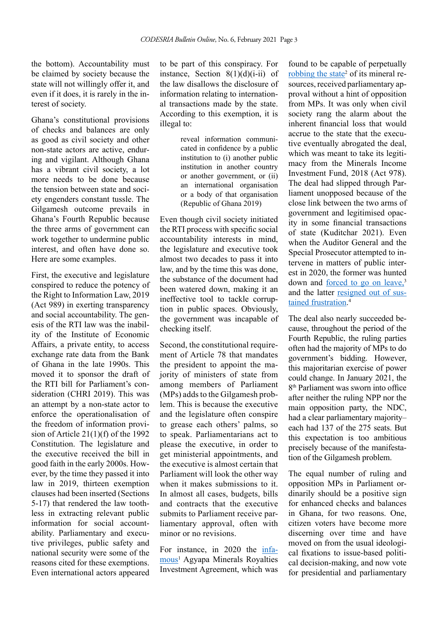the bottom). Accountability must be claimed by society because the state will not willingly offer it, and even if it does, it is rarely in the interest of society.

Ghana's constitutional provisions of checks and balances are only as good as civil society and other non-state actors are active, enduring and vigilant. Although Ghana has a vibrant civil society, a lot more needs to be done because the tension between state and society engenders constant tussle. The Gilgamesh outcome prevails in Ghana's Fourth Republic because the three arms of government can work together to undermine public interest, and often have done so. Here are some examples.

First, the executive and legislature conspired to reduce the potency of the Right to Information Law, 2019 (Act 989) in exerting transparency and social accountability. The genesis of the RTI law was the inability of the Institute of Economic Affairs, a private entity, to access exchange rate data from the Bank of Ghana in the late 1990s. This moved it to sponsor the draft of the RTI bill for Parliament's consideration (CHRI 2019). This was an attempt by a non-state actor to enforce the operationalisation of the freedom of information provision of Article 21(1)(f) of the 1992 Constitution. The legislature and the executive received the bill in good faith in the early 2000s. However, by the time they passed it into law in 2019, thirteen exemption clauses had been inserted (Sections 5-17) that rendered the law toothless in extracting relevant public information for social accountability. Parliamentary and executive privileges, public safety and national security were some of the reasons cited for these exemptions. Even international actors appeared to be part of this conspiracy. For instance, Section  $8(1)(d)(i-ii)$  of the law disallows the disclosure of information relating to international transactions made by the state. According to this exemption, it is illegal to:

> reveal information communicated in confidence by a public institution to (i) another public institution in another country or another government, or (ii) an international organisation or a body of that organisation (Republic of Ghana 2019)

Even though civil society initiated the RTI process with specific social accountability interests in mind, the legislature and executive took almost two decades to pass it into law, and by the time this was done, the substance of the document had been watered down, making it an ineffective tool to tackle corruption in public spaces. Obviously, the government was incapable of checking itself.

Second, the constitutional requirement of Article 78 that mandates the president to appoint the majority of ministers of state from among members of Parliament (MPs) adds to the Gilgamesh problem. This is because the executive and the legislature often conspire to grease each others' palms, so to speak. Parliamentarians act to please the executive, in order to get ministerial appointments, and the executive is almost certain that Parliament will look the other way when it makes submissions to it. In almost all cases, budgets, bills and contracts that the executive submits to Parliament receive parliamentary approval, often with minor or no revisions.

For instance, in 2020 the [infa](https://www.graphic.com.gh/news/general-news/agyapa-royalties-deal-to-go-back-to-parliament.html)[mous](https://www.graphic.com.gh/news/general-news/agyapa-royalties-deal-to-go-back-to-parliament.html)<sup>1</sup> Agyapa Minerals Royalties Investment Agreement, which was

found to be capable of perpetually [robbing the state](https://www.transparency.org/en/blog/ghana-what-is-going-on-with-the-controversial-agyapa-gold-royalties-deal)<sup>2</sup> of its mineral resources, received parliamentary approval without a hint of opposition from MPs. It was only when civil society rang the alarm about the inherent financial loss that would accrue to the state that the executive eventually abrogated the deal, which was meant to take its legitimacy from the Minerals Income Investment Fund, 2018 (Act 978). The deal had slipped through Parliament unopposed because of the close link between the two arms of government and legitimised opacity in some financial transactions of state (Kuditchar 2021). Even when the Auditor General and the Special Prosecutor attempted to intervene in matters of public interest in 2020, the former was hunted down and [forced to go on leave,](https://www.graphic.com.gh/news/general-news/domelevo-responds-to-akufo-addo-s-directive-to-proceed-on-leave.html)<sup>3</sup> and the latter [resigned out of sus](https://www.graphic.com.gh/news/politics/why-martin-amidu-resigned-as-special-prosecutor.html)[tained frustration](https://www.graphic.com.gh/news/politics/why-martin-amidu-resigned-as-special-prosecutor.html). 4

The deal also nearly succeeded because, throughout the period of the Fourth Republic, the ruling parties often had the majority of MPs to do government's bidding. However, this majoritarian exercise of power could change. In January 2021, the 8<sup>th</sup> Parliament was sworn into office after neither the ruling NPP nor the main opposition party, the NDC, had a clear parliamentary majority– each had 137 of the 275 seats. But this expectation is too ambitious precisely because of the manifestation of the Gilgamesh problem.

The equal number of ruling and opposition MPs in Parliament ordinarily should be a positive sign for enhanced checks and balances in Ghana, for two reasons. One citizen voters have become more discerning over time and have moved on from the usual ideological fixations to issue-based political decision-making, and now vote for presidential and parliamentary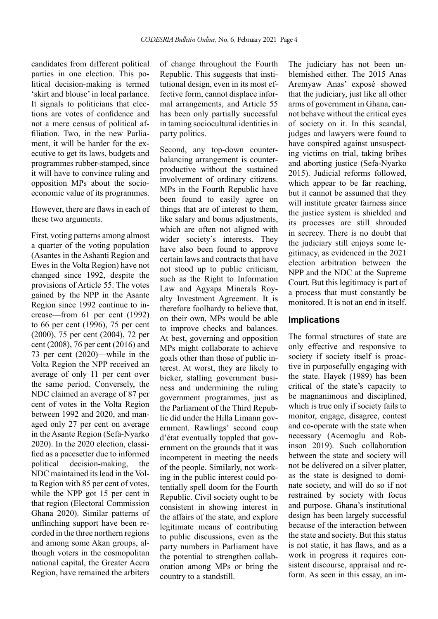candidates from different political parties in one election. This political decision-making is termed 'skirt and blouse' in local parlance. It signals to politicians that elections are votes of confidence and not a mere census of political affiliation. Two, in the new Parliament, it will be harder for the executive to get its laws, budgets and programmes rubber-stamped, since it will have to convince ruling and opposition MPs about the socioeconomic value of its programmes.

However, there are flaws in each of these two arguments.

First, voting patterns among almost a quarter of the voting population (Asantes in the Ashanti Region and Ewes in the Volta Region) have not changed since 1992, despite the provisions of Article 55. The votes gained by the NPP in the Asante Region since 1992 continue to increase—from 61 per cent (1992) to 66 per cent (1996), 75 per cent (2000), 75 per cent (2004), 72 per cent (2008), 76 per cent (2016) and 73 per cent (2020)—while in the Volta Region the NPP received an average of only 11 per cent over the same period. Conversely, the NDC claimed an average of 87 per cent of votes in the Volta Region between 1992 and 2020, and managed only 27 per cent on average in the Asante Region (Sefa-Nyarko 2020). In the 2020 election, classified as a pacesetter due to informed political decision-making, the NDC maintained its lead in the Volta Region with 85 per cent of votes, while the NPP got 15 per cent in that region (Electoral Commission Ghana 2020). Similar patterns of unflinching support have been recorded in the three northern regions and among some Akan groups, although voters in the cosmopolitan national capital, the Greater Accra Region, have remained the arbiters of change throughout the Fourth Republic. This suggests that institutional design, even in its most effective form, cannot displace informal arrangements, and Article 55 has been only partially successful in taming sociocultural identities in party politics.

Second, any top-down counterbalancing arrangement is counterproductive without the sustained involvement of ordinary citizens. MPs in the Fourth Republic have been found to easily agree on things that are of interest to them, like salary and bonus adjustments, which are often not aligned with wider society's interests. They have also been found to approve certain laws and contracts that have not stood up to public criticism, such as the Right to Information Law and Agyapa Minerals Royalty Investment Agreement. It is therefore foolhardy to believe that, on their own, MPs would be able to improve checks and balances. At best, governing and opposition MPs might collaborate to achieve goals other than those of public interest. At worst, they are likely to bicker, stalling government business and undermining the ruling government programmes, just as the Parliament of the Third Republic did under the Hilla Limann government. Rawlings' second coup d'état eventually toppled that government on the grounds that it was incompetent in meeting the needs of the people. Similarly, not working in the public interest could potentially spell doom for the Fourth Republic. Civil society ought to be consistent in showing interest in the affairs of the state, and explore legitimate means of contributing to public discussions, even as the party numbers in Parliament have the potential to strengthen collaboration among MPs or bring the country to a standstill.

The judiciary has not been unblemished either. The 2015 Anas Aremyaw Anas' exposé showed that the judiciary, just like all other arms of government in Ghana, cannot behave without the critical eyes of society on it. In this scandal, judges and lawyers were found to have conspired against unsuspecting victims on trial, taking bribes and aborting justice (Sefa-Nyarko 2015). Judicial reforms followed, which appear to be far reaching. but it cannot be assumed that they will institute greater fairness since the justice system is shielded and its processes are still shrouded in secrecy. There is no doubt that the judiciary still enjoys some legitimacy, as evidenced in the 2021 election arbitration between the NPP and the NDC at the Supreme Court. But this legitimacy is part of a process that must constantly be monitored. It is not an end in itself.

#### **Implications**

The formal structures of state are only effective and responsive to society if society itself is proactive in purposefully engaging with the state. Hayek (1989) has been critical of the state's capacity to be magnanimous and disciplined, which is true only if society fails to monitor, engage, disagree, contest and co-operate with the state when necessary (Acemoglu and Robinson 2019). Such collaboration between the state and society will not be delivered on a silver platter, as the state is designed to dominate society, and will do so if not restrained by society with focus and purpose. Ghana's institutional design has been largely successful because of the interaction between the state and society. But this status is not static, it has flaws, and as a work in progress it requires consistent discourse, appraisal and reform. As seen in this essay, an im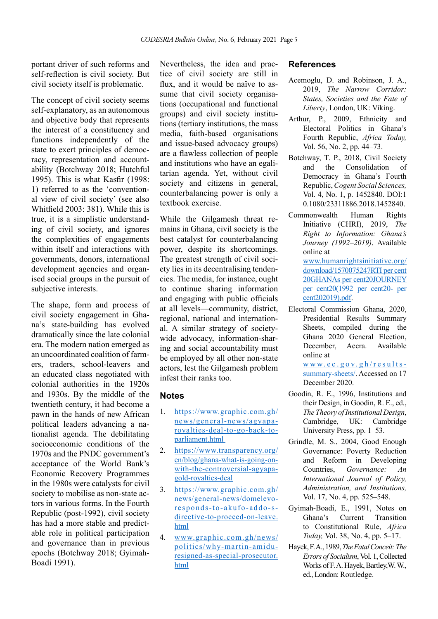portant driver of such reforms and self-reflection is civil society. But civil society itself is problematic.

The concept of civil society seems self-explanatory, as an autonomous and objective body that represents the interest of a constituency and functions independently of the state to exert principles of democracy, representation and accountability (Botchway 2018; Hutchful 1995). This is what Kasfir (1998: 1) referred to as the 'conventional view of civil society' (see also Whitfield 2003: 381). While this is true, it is a simplistic understanding of civil society, and ignores the complexities of engagements within itself and interactions with governments, donors, international development agencies and organised social groups in the pursuit of subjective interests.

The shape, form and process of civil society engagement in Ghana's state-building has evolved dramatically since the late colonial era. The modern nation emerged as an uncoordinated coalition of farmers, traders, school-leavers and an educated class negotiated with colonial authorities in the 1920s and 1930s. By the middle of the twentieth century, it had become a pawn in the hands of new African political leaders advancing a nationalist agenda. The debilitating socioeconomic conditions of the 1970s and the PNDC government's acceptance of the World Bank's Economic Recovery Programmes in the 1980s were catalysts for civil society to mobilise as non-state actors in various forms. In the Fourth Republic (post-1992), civil society has had a more stable and predictable role in political participation and governance than in previous epochs (Botchway 2018; Gyimah-Boadi 1991).

Nevertheless, the idea and practice of civil society are still in flux, and it would be naïve to assume that civil society organisations (occupational and functional groups) and civil society institutions (tertiary institutions, the mass media, faith-based organisations and issue-based advocacy groups) are a flawless collection of people and institutions who have an egalitarian agenda. Yet, without civil society and citizens in general, counterbalancing power is only a textbook exercise.

While the Gilgamesh threat remains in Ghana, civil society is the best catalyst for counterbalancing power, despite its shortcomings. The greatest strength of civil society lies in its decentralising tendencies. The media, for instance, ought to continue sharing information and engaging with public officials at all levels—community, district, regional, national and international. A similar strategy of societywide advocacy, information-sharing and social accountability must be employed by all other non-state actors, lest the Gilgamesh problem infest their ranks too.

#### **Notes**

- 1. https://www.graphic.com.gh/ news/general-news/agyaparoyalties-deal-to-go-back-toparliament.html
- 2. https://www.transparency.org/ en/blog/ghana-what-is-going-onwith-the-controversial-agyapagold-royalties-deal
- 3. https://www.graphic.com.gh/ news/general-news/domelevoresponds-to-akufo-addo-sdirective-to-proceed-on-leave. html
- 4. www.graphic.com.gh/news/ politics/why-martin-amiduresigned-as-special-prosecutor. html

### **References**

- Acemoglu, D. and Robinson, J. A., 2019, *The Narrow Corridor: States, Societies and the Fate of Liberty*, London, UK: Viking.
- Arthur, P., 2009, Ethnicity and Electoral Politics in Ghana's Fourth Republic, *Africa Today,* Vol. 56, No. 2, pp. 44–73.
- Botchway, T. P., 2018, Civil Society and the Consolidation of Democracy in Ghana's Fourth Republic, *Cogent Social Sciences,* Vol. 4, No. 1, p. 1452840. DOI:1 0.1080/23311886.2018.1452840.
- Commonwealth Human Rights Initiative (CHRI), 2019, *The Right to Information: Ghana's Journey (1992–2019)*. Available online at www.humanrightsinitiative.org/ download/1570075247RTI per cent

20GHANAs per cent20JOURNEY per cent20(1992 per cent20- per cent202019).pdf.

Electoral Commission Ghana, 2020, Presidential Results Summary Sheets, compiled during the Ghana 2020 General Election, December, Accra. Available online at

> www.ec.gov.gh/resultssummary-sheets/. Accessed on 17 December 2020.

- Goodin, R. E., 1996, Institutions and their Design, in Goodin, R. E., ed., *The Theory of Institutional Design*, Cambridge, UK: Cambridge University Press, pp. 1–53.
- Grindle, M. S., 2004, Good Enough Governance: Poverty Reduction and Reform in Developing Countries, *Governance: An International Journal of Policy, Administration, and Institutions,* Vol. 17, No. 4, pp. 525–548.
- Gyimah-Boadi, E., 1991, Notes on Ghana's Current Transition to Constitutional Rule, *Africa Today,* Vol. 38, No. 4, pp. 5–17.
- Hayek, F. A., 1989, *The Fatal Conceit: The Errors of Socialism*, Vol. 1, Collected Works of F. A. Hayek, Bartley,W. W., ed., London: Routledge.